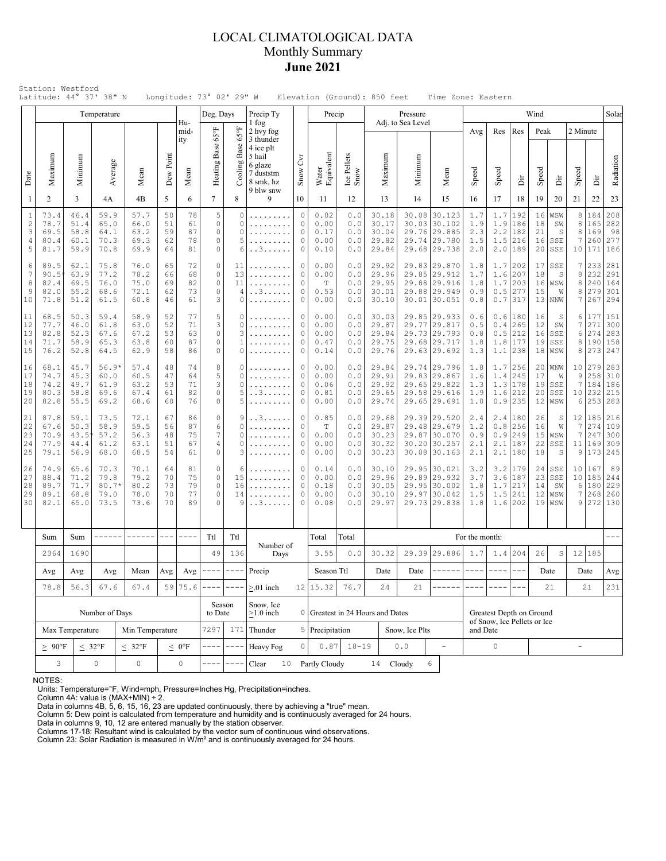### LOCAL CLIMATOLOGICAL DATA Monthly Summary **June 2021**

|                                               |                                                                       |                                                                                                | Temperature                             |                                      |                            |                            | Deg. Days                         |                                             | Precip Ty                                                                                                |                                               | Precip                                      |                                 |                                           | Pressure                                                |                                                                              |                                 |                                 |                                                  | Wind                       |                                         |                          |                                 | Solar                                 |
|-----------------------------------------------|-----------------------------------------------------------------------|------------------------------------------------------------------------------------------------|-----------------------------------------|--------------------------------------|----------------------------|----------------------------|-----------------------------------|---------------------------------------------|----------------------------------------------------------------------------------------------------------|-----------------------------------------------|---------------------------------------------|---------------------------------|-------------------------------------------|---------------------------------------------------------|------------------------------------------------------------------------------|---------------------------------|---------------------------------|--------------------------------------------------|----------------------------|-----------------------------------------|--------------------------|---------------------------------|---------------------------------------|
| Date                                          | Maximum                                                               | Minimum                                                                                        | Average                                 | Mean                                 | Dew Point                  | Hu-<br>mid-<br>ity<br>Mean | Heating Base 65°F                 | 4°50<br>Cooling Base                        | 1 fog<br>2 hvy fog<br>3 thunder<br>4 ice plt<br>5 hail<br>6 glaze<br>7 duststm<br>8 smk, hz<br>9 blw snw | Snow Cyr                                      | Water<br>Equivalent                         | Ice Pellets<br>Snow             | Maximum                                   | Adj. to Sea Level<br>Minimur                            | Mean                                                                         | Avg<br>Speed                    | Res<br>Speed                    | Res<br>Èř                                        | Peak<br>Speed              | ă                                       | 2 Minute<br>Speed        | ă                               | Radiation                             |
| -1                                            | 2                                                                     | 3                                                                                              | 4A                                      | 4B                                   | 5                          | 6                          | $\tau$                            | 8                                           | 9                                                                                                        | 10                                            | 11                                          | 12                              | 13                                        | 14                                                      | 15                                                                           | 16                              | 17                              | 18                                               | 19                         | 20                                      | 21                       | 22                              | 23                                    |
| $\mathbf{1}$<br>$\overline{c}$<br>3<br>4<br>5 | 73.4<br>78.7<br>69.5<br>80.4<br>81.7                                  | 46.4<br>51.4<br>58.8<br>60.1<br>59.9                                                           | 59.9<br>65.0<br>64.1<br>70.3<br>70.8    | 57.7<br>66.0<br>63.2<br>69.3<br>69.9 | 50<br>51<br>59<br>62<br>64 | 78<br>61<br>87<br>78<br>81 | 5<br>$\circ$<br>0<br>0<br>0       | $\mathbf 0$<br>$\circ$<br>$\circ$<br>5<br>6 | .<br>.<br>. . 3                                                                                          | $\circ$<br>0<br>0<br>$\circ$<br>0             | 0.02<br>0.00<br>0.17<br>0.00<br>0.10        | 0.0<br>0.0<br>0.0<br>0.0<br>0.0 | 30.18<br>30.17<br>30.04<br>29.82<br>29.84 | 30.08<br>30.03<br>29.74                                 | 30.123<br>30.102<br>29.76 29.885<br>29.780<br>29.68 29.738                   | 1.7<br>1.9<br>2.3<br>1.5<br>2.0 | 1.7<br>1.9<br>1.5               | 192<br>186<br>$2.2$   182<br>216<br>$2.0$  189   | 16<br>18<br>21<br>16<br>20 | WSW<br>SW<br>S<br>SSE<br>SSE            | 8<br>8<br>8<br>7<br>10   | 184<br>165<br>169<br>260<br>171 | 208<br>282<br>98<br>277<br>186        |
| 6<br>7<br>8<br>9<br>10                        | 89.5<br>90.5<br>82.4<br>82.0<br>71.8                                  | 62.1<br>63.9<br>69.5<br>55.2<br>51.2                                                           | 75.8<br>77.2<br>76.0<br>68.6<br>61.5    | 76.0<br>78.2<br>75.0<br>72.1<br>60.8 | 65<br>66<br>69<br>62<br>46 | 72<br>68<br>82<br>73<br>61 | $\circ$<br>0<br>$\circ$<br>0<br>3 | 11<br>13<br>11<br>4<br>0                    | .<br>. . 3<br>.                                                                                          | 0<br>0<br>$\mathbf 0$<br>$\circ$<br>$\circ$   |                                             | 0.0<br>0.0<br>0.0<br>0.0<br>0.0 | 29.92<br>29.96<br>29.95<br>30.01<br>30.10 |                                                         | 29.83 29.870<br>29.85 29.912<br>29.88 29.916<br>29.88 29.949<br>30.01 30.051 | 1.8<br>1.7<br>1.8<br>0.9<br>0.8 | 1.6<br>1.7<br>0.5               | $1.7$   202<br> 207<br>203<br>277<br>$0.7$   317 | 18<br>16<br>15             | $17$ SSE<br>S<br>WSW<br>W<br>13 NNW     | 7<br>8<br>8<br>8<br>7    | 233<br>232<br>240<br>279<br>267 | 281<br>291<br>164<br>301<br>294       |
| 11<br>12<br>13<br>14<br>15                    | 68.5<br>77.7<br>82.8<br>71.7<br>76.2                                  | 50.3<br>46.0<br>52.3<br>58.9<br>52.8                                                           | 59.4<br>61.8<br>67.6<br>65.3<br>64.5    | 58.9<br>63.0<br>67.2<br>63.8<br>62.9 | 52<br>52<br>53<br>60<br>58 | 77<br>71<br>63<br>87<br>86 | 5<br>3<br>0<br>$\circ$<br>0       | 0<br>0<br>3<br>1<br>0                       | .                                                                                                        | 0<br>$\circ$<br>$\circ$<br>$\circ$<br>$\circ$ | 0.00<br>0.00<br>0.00<br>0.47<br>0.14        | 0.0<br>0.0<br>0.0<br>0.0<br>0.0 | 30.03<br>29.87<br>29.84<br>29.75<br>29.76 |                                                         | 29.85 29.933<br>29.77 29.817<br>29.73 29.793<br>29.68 29.717<br>29.63 29.692 | 0.6<br>0.5<br>0.8<br>1.8<br>1.3 | 0.4<br>0.5<br>1.8               | 0.6 180<br>265<br>212<br>177<br>$1.1$  238       | 16<br>12<br>16<br>19<br>18 | S<br>SW<br>SSE<br>SSE<br> WSW           | 6<br>7<br>6<br>8<br>8    | 177<br>271<br>274<br>190<br>273 | 151<br>300<br>283<br>158<br>247       |
| 16<br>17<br>18<br>19<br>20                    | 68.1<br>74.7<br>74.2<br>80.3<br>82.8                                  | 45.7<br>45.3<br>49.7<br>58.8<br>55.5                                                           | $56.9*$<br>60.0<br>61.9<br>69.6<br>69.2 | 57.4<br>60.5<br>63.2<br>67.4<br>68.6 | 48<br>47<br>53<br>61<br>60 | 74<br>64<br>71<br>82<br>76 | 8<br>5<br>3<br>0<br>0             | 0<br>$\circ$<br>0<br>5<br>5                 | . . 3                                                                                                    | 0<br>0<br>$\circ$<br>$\circ$<br>0             | 0.00<br>0.00<br>0.06<br>0.81<br>0.00        | 0.0<br>0.0<br>0.0<br>0.0<br>0.0 | 29.84<br>29.91<br>29.92<br>29.65<br>29.74 |                                                         | 29.74 29.796<br>29.83 29.867<br>29.65 29.822<br>29.58 29.616<br>29.65 29.691 | 1.8<br>1.6<br>1.3<br>1.9<br>1.0 | 1.4<br>1.3<br>1.6               | $1.7$   256<br>245<br>178<br>212<br>$0.9$   235  | 17<br>19<br>20             | $20$   WNW<br>W<br>SSE<br>SSE<br>12 WSW | 10 <br>9<br>7<br>6       | 279<br>258<br>184<br>10 232     | 283<br>310<br>186<br>215<br>253 283   |
| 21<br>22<br>23<br>24<br>25                    | 87.8<br>67.6<br>70.9<br>77.9<br>79.1                                  | 59.1<br>50.3<br>43.5<br>44.4<br>56.9                                                           | 73.5<br>58.9<br>57.2<br>61.2<br>68.0    | 72.1<br>59.5<br>56.3<br>63.1<br>68.5 | 67<br>56<br>48<br>51<br>54 | 86<br>87<br>75<br>67<br>61 | 0<br>6<br>7<br>4<br>$\circ$       | 9<br>$\circ$<br>0<br>0<br>3                 | . . 3.<br>.                                                                                              | 0<br>$\mathbf 0$<br>0<br>0<br>0               | 0.85<br>$\mathbb T$<br>0.00<br>0.00<br>0.00 | 0.0<br>0.0<br>0.0<br>0.0<br>0.0 | 29.68<br>29.87<br>30.23<br>30.32<br>30.23 | 29.87                                                   | 29.39 29.520<br>29.48 29.679<br>30.070<br>30.20 30.257<br>30.08 30.163       | 2.4<br>1.2<br>0.9<br>2.1<br>2.1 | 2.4<br>0.8<br>0.9<br>2.1        | 180<br>256<br>1249<br>187<br>$2.1$  180          | 26<br>16<br>22<br>18       | S<br>W<br>$15 $ WSW<br>SSE<br>S         | 12<br>7<br>7<br>11       | 185<br>274<br>247<br>169        | 216<br>109<br>300<br>309<br>9 173 245 |
| 26<br>27<br>28<br>29<br>30                    | 74.9<br>88.4<br>89.7<br>89.1<br>82.1                                  | 65.6<br>71.2<br>71.7<br>68.8<br>65.0                                                           | 70.3<br>79.8<br>$80.7*$<br>79.0<br>73.5 | 70.1<br>79.2<br>80.2<br>78.0<br>73.6 | 64<br>70<br>73<br>70<br>70 | 81<br>75<br>79<br>77<br>89 | $\circ$<br>0<br>$\circ$<br>0<br>0 | 6<br>15<br>16<br>14<br>9<br>. . 3 .         |                                                                                                          | 0<br>0<br>$\Omega$<br>$\circ$<br>0            | 0.14<br>0.00<br>0.18<br>0.00<br>0.08        | 0.0<br>0.0<br>0.0<br>0.0<br>0.0 | 30.10<br>29.96<br>30.05<br>30.10<br>29.97 | 29.89<br>29.97                                          | 29.95 30.021<br>29.932<br>29.95 30.002<br>30.042<br>29.73 29.838             | 3.2<br>3.7<br>1.8<br>1.5<br>1.8 | 3.2<br>3.6<br>1.7<br>1.5<br>1.6 | 179<br>187<br>217<br>241<br>202                  | 23<br>14<br>12<br>19       | $24$ SSE<br>SSE<br>SW<br>WSW<br>WSW     | 10 <br>10<br>6<br>7<br>9 | 167<br>185<br>180<br>268<br>272 | 89<br>244<br>229<br>260<br>130        |
|                                               | Sum                                                                   | Sum                                                                                            |                                         |                                      | $\qquad \qquad - -$        |                            | Ttl                               | Ttl                                         |                                                                                                          |                                               | Total                                       | Total                           |                                           |                                                         |                                                                              | For the month:                  |                                 |                                                  |                            |                                         |                          |                                 |                                       |
|                                               | 2364                                                                  | Number of<br>1690<br>136<br>49<br>Days                                                         |                                         |                                      | 3.55                       | 0.0                        | 30.32                             |                                             | 29.39 29.886                                                                                             | 1.7                                           | 1.4                                         | 204                             | 26                                        | $\rm S$                                                 |                                                                              | 12 185                          |                                 |                                                  |                            |                                         |                          |                                 |                                       |
|                                               | Avg                                                                   | $\qquad \qquad - - - -$<br>$\qquad \qquad - - -$<br>Precip<br>Avg<br>Avg<br>Mean<br>Avg<br>Avg |                                         |                                      |                            |                            | Season Ttl                        |                                             | Date                                                                                                     | Date                                          | ------                                      | $\frac{1}{2}$                   | $- - - -$                                 | $---$                                                   |                                                                              | Date                            |                                 | Date                                             | Avg                        |                                         |                          |                                 |                                       |
|                                               | 78.8                                                                  | 56.3                                                                                           | 67.6                                    | 67.4<br>59<br>75.6                   |                            |                            |                                   |                                             | $> 01$ inch                                                                                              |                                               | $12 \mid 15.32$                             | 76.7                            | 24                                        | 21                                                      |                                                                              |                                 |                                 |                                                  |                            | 21                                      |                          | 21                              | 231                                   |
|                                               |                                                                       |                                                                                                | Number of Days                          |                                      |                            |                            |                                   | Season<br>to Date                           | Snow, Ice<br>$\geq$ 1.0 inch                                                                             |                                               |                                             |                                 | 0 Greatest in 24 Hours and Dates          | Greatest Depth on Ground<br>of Snow, Ice Pellets or Ice |                                                                              |                                 |                                 |                                                  |                            |                                         |                          |                                 |                                       |
|                                               |                                                                       | Max Temperature                                                                                |                                         | Min Temperature                      |                            | 7297                       | 171                               | Thunder                                     |                                                                                                          | 5 Precipitation                               |                                             |                                 | Snow, Ice Plts                            |                                                         | and Date                                                                     |                                 |                                 |                                                  |                            |                                         |                          |                                 |                                       |
|                                               | $\geq 90^{\circ}$ F<br>$\leq~32^{\circ}\mathrm{F}$<br>$< 32^{\circ}F$ |                                                                                                |                                         |                                      |                            | $\leq 0$ °F                |                                   | $\frac{1}{2}$                               | Heavy Fog                                                                                                | $\circ$                                       | 0.87                                        | $18 - 19$                       |                                           | ${\bf 0}$ . ${\bf 0}$                                   | $\equiv$                                                                     |                                 | 0                               |                                                  |                            |                                         | $\overline{a}$           |                                 |                                       |
|                                               | 3<br>$\mathsf{O}\xspace$<br>$\circ$                                   |                                                                                                |                                         |                                      |                            | $\mathbb O$                |                                   |                                             | Clear<br>10                                                                                              |                                               | Partly Cloudy                               |                                 | 14                                        | Cloudy                                                  | 6                                                                            |                                 |                                 |                                                  |                            |                                         |                          |                                 |                                       |

NOTES:

Units: Temperature=°F, Wind=mph, Pressure=Inches Hg, Precipitation=inches. Column 4A: value is (MAX+MIN) ÷ 2. Data in columns 4B, 5, 6, 15, 16, 23 are updated continuously, there by achieving a "true" mean.

Column 5: Dew point is calculated from temperature and humidity and is continuously averaged for 24 hours. Data in columns 9, 10, 12 are entered manually by the station observer.

Columns 17-18: Resultant wind is calculated by the vector sum of continuous wind observations. Column 23: Solar Radiation is measured in W/m² and is continuously averaged for 24 hours.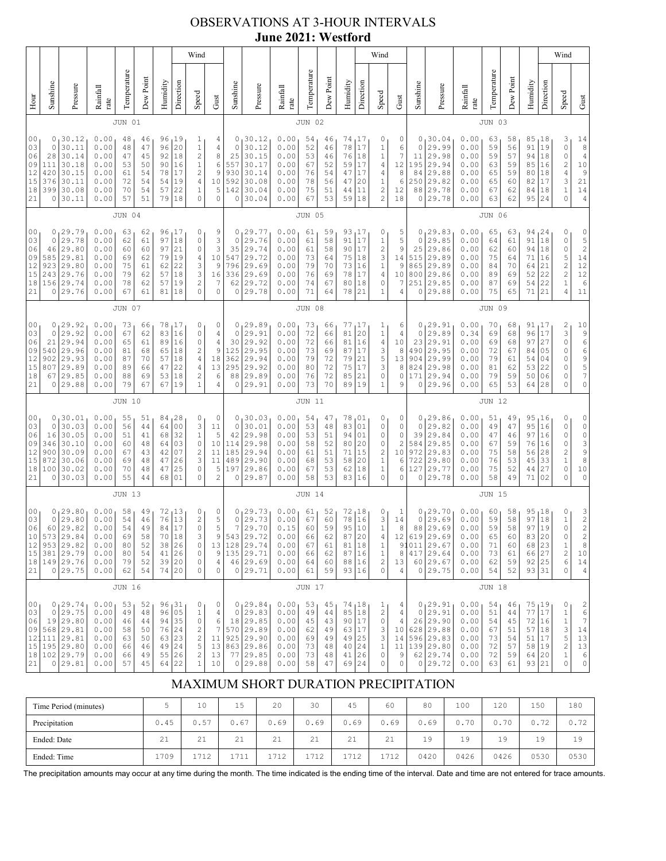# OBSERVATIONS AT 3-HOUR INTERVALS **June 2021: Westford**

|                                              | Wind                                                                                                                                                                                                                                                                                                                                                                                                                                                                                                                   |                                                                                           |                                                              |                                              |                                              |                                              |                                                      |                                                                                                                      |                                                                        |                                                                      |                                                                                                      |                                                              |                                              |                                              |                                                 | Wind                                                                      |                                                                                       |                                                              |                                                                      |                                                                                       |                                                              |                                              |                                              |                                                                  | Wind                                                   |                                                                                                                                                                                     |                                                                                                                |
|----------------------------------------------|------------------------------------------------------------------------------------------------------------------------------------------------------------------------------------------------------------------------------------------------------------------------------------------------------------------------------------------------------------------------------------------------------------------------------------------------------------------------------------------------------------------------|-------------------------------------------------------------------------------------------|--------------------------------------------------------------|----------------------------------------------|----------------------------------------------|----------------------------------------------|------------------------------------------------------|----------------------------------------------------------------------------------------------------------------------|------------------------------------------------------------------------|----------------------------------------------------------------------|------------------------------------------------------------------------------------------------------|--------------------------------------------------------------|----------------------------------------------|----------------------------------------------|-------------------------------------------------|---------------------------------------------------------------------------|---------------------------------------------------------------------------------------|--------------------------------------------------------------|----------------------------------------------------------------------|---------------------------------------------------------------------------------------|--------------------------------------------------------------|----------------------------------------------|----------------------------------------------|------------------------------------------------------------------|--------------------------------------------------------|-------------------------------------------------------------------------------------------------------------------------------------------------------------------------------------|----------------------------------------------------------------------------------------------------------------|
| Hour                                         | Sunshine                                                                                                                                                                                                                                                                                                                                                                                                                                                                                                               | Pressure                                                                                  | Rainfall<br>rate                                             | Temperature                                  | Dew Point                                    | Humidity                                     | Direction                                            | Speed                                                                                                                | Gust                                                                   | Sunshine                                                             | Pressure                                                                                             | Rainfall<br>rate                                             | Temperature                                  | Dew Point                                    | Humidity                                        | Direction                                                                 | Speed                                                                                 | Gust                                                         | Sunshine                                                             | Pressure                                                                              | Rainfall<br>rate                                             | Temperature                                  | Dew Point                                    | Humidity                                                         | Direction                                              | Speed                                                                                                                                                                               | Gust                                                                                                           |
|                                              |                                                                                                                                                                                                                                                                                                                                                                                                                                                                                                                        |                                                                                           |                                                              | <b>JUN 01</b>                                |                                              |                                              |                                                      |                                                                                                                      |                                                                        |                                                                      |                                                                                                      |                                                              | <b>JUN 02</b>                                |                                              |                                                 |                                                                           |                                                                                       |                                                              |                                                                      |                                                                                       |                                                              | <b>JUN 03</b>                                |                                              |                                                                  |                                                        |                                                                                                                                                                                     |                                                                                                                |
| 00<br>03<br>06<br>09<br>12<br>15<br>18<br>21 | 0<br>0.00<br>19<br>30.12<br>48<br>46<br>96<br>$\mathbf{1}$<br>20<br>0<br>30.11<br>0.00<br>47<br>$1\,$<br>48<br>96<br>$\overline{\mathbf{c}}$<br>30.14<br>18<br>28<br>0.00<br>47<br>45<br>92<br>30.18<br>16<br>$1\,$<br>111<br>0.00<br>53<br>50<br>90<br>$\overline{\mathbf{c}}$<br>420<br>30.15<br>0.00<br>61<br>54<br>78<br>17<br>30.11<br>54<br>$\sqrt{4}$<br>376<br>0.00<br>72<br>54<br>19<br>399<br>30.08<br>22<br>$\mathbf{1}$<br>70<br>57<br>0.00<br>54<br>$\circ$<br>30.11<br>57<br>51<br>0<br>0.00<br>79<br>18 |                                                                                           |                                                              |                                              |                                              |                                              |                                                      | 4<br>4<br>8<br>6<br>9<br>10<br>5<br>$\circ$                                                                          | 0<br>0<br>25<br>557<br>930<br>592<br>142<br>0                          | 30.12<br>30.12<br>30.15<br>30.17<br>30.14<br>30.08<br>30.04<br>30.04 | 0.00<br>0.00<br>0.00<br>0.00<br>0.00<br>0.00<br>0.00<br>0.00                                         | 54<br>52<br>53<br>67<br>76<br>78<br>75<br>67                 | 46<br>46<br>46<br>52<br>54<br>56<br>51<br>53 | 74<br>78<br>76<br>59<br>47<br>47<br>44<br>59 | 17 ا<br>17<br>18<br>17<br>17<br>20<br>11<br>18  | 0<br>1<br>$\mathbf{1}$<br>4<br>4<br>1<br>$\overline{c}$<br>$\overline{c}$ | 0<br>6<br>7<br>12<br>$\,8\,$<br>6<br>12<br>18                                         | 0<br>0<br>11<br>195<br>84<br>250<br>88<br>0                  | 30.04<br>29.99<br>29.98<br>29.94<br>29.88<br>29.82<br>29.78<br>29.78 | 0.00<br>0.00<br>0.00<br>0.00<br>0.00<br>0.00<br>0.00<br>0.00                          | 63<br>59<br>59<br>63<br>65<br>65<br>67<br>63                 | 58<br>56<br>57<br>59<br>59<br>60<br>62<br>62 | 85<br>91<br>94<br>85<br>80<br>82<br>84<br>95 | 18<br>19<br>18<br>16<br>18<br>17<br>18<br>24                     | З<br>0<br>0<br>$\frac{2}{4}$<br>3<br>$\mathbf{1}$<br>0 | 14<br>8<br>$\sqrt{4}$<br>$1\,0$<br>$\mathsf{S}$<br>21<br>$14$<br>$\sqrt{4}$                                                                                                         |                                                                                                                |
|                                              |                                                                                                                                                                                                                                                                                                                                                                                                                                                                                                                        |                                                                                           |                                                              | <b>JUN 04</b>                                |                                              |                                              |                                                      |                                                                                                                      |                                                                        |                                                                      |                                                                                                      |                                                              | <b>JUN 05</b>                                |                                              |                                                 |                                                                           |                                                                                       |                                                              |                                                                      |                                                                                       |                                                              | JUN 06                                       |                                              |                                                                  |                                                        |                                                                                                                                                                                     |                                                                                                                |
| 00<br>03<br>06<br>09<br>12<br>15<br>18<br>21 | 0<br>$\mathbb O$<br>46<br>585<br>923<br>243<br>156<br>0                                                                                                                                                                                                                                                                                                                                                                                                                                                                | 29.79<br>29.78<br>29.80<br>29.81<br>29.80<br>29.76<br>29.74<br>29.76                      | 0.00<br>0.00<br>0.00<br>0.00<br>0.00<br>0.00<br>0.00<br>0.00 | 63<br>62<br>60<br>69<br>75<br>79<br>78<br>67 | 62<br>61<br>60<br>62<br>61<br>62<br>62<br>61 | 97<br>97<br>79<br>62<br>57<br>57<br>81       | 96, 17<br>$1\,8$<br>21<br>19<br>22<br>18<br>19<br>18 | 0<br>$\circ$<br>$\circ$<br>$\overline{4}$<br>3<br>3<br>$\overline{c}$<br>$\mathbf 0$                                 | 9<br>3<br>3<br>10<br>9<br>16<br>7<br>$\circ$                           | 0<br>$\mathbf 0$<br>35<br>547<br>796<br>336<br>62<br>0               | 29.77<br>29.76<br>29.74<br>29.72<br>29.69<br>29.69<br>29.72<br>29.78                                 | 0.00<br>0.00<br>0.00<br>0.00<br>0.00<br>0.00<br>0.00<br>0.00 | 61<br>61<br>61<br>73<br>79<br>76<br>74<br>71 | 59<br>58<br>58<br>64<br>70<br>69<br>67<br>64 | 93<br>91<br>90<br>75<br>73<br>78<br>80<br>78    | 17 ا<br>17<br>17<br>18<br>16<br>17<br>18<br>21                            | 0<br>$\mathbf{1}$<br>$\overline{\mathcal{L}}$<br>3<br>$\,1\,$<br>$\sqrt{4}$<br>0<br>1 | 5<br>5<br>9<br>14<br>9<br>10<br>7<br>4                       | 0<br>0<br>25<br>515<br>865<br>800<br>251<br>0                        | 29.83<br>29.85<br>29.86<br>29.89<br>29.89<br>29.86<br>29.85<br>29.88                  | 0.00<br>0.00<br>0.00<br>0.00<br>0.00<br>0.00<br>0.00<br>0.00 | 65<br>64<br>62<br>75<br>84<br>89<br>87<br>75 | 63<br>61<br>60<br>64<br>70<br>69<br>69<br>65 | 94<br>91<br>94<br>71<br>64<br>52<br>54<br>71                     | 124<br>18<br>18<br>16<br>21<br>22<br>22<br>21          | 0<br>0<br>0<br>5<br>$\frac{2}{2}$<br>$\mathbf 1$<br>4                                                                                                                               | 0<br>$\frac{5}{2}$<br>$1\,4$<br>$\begin{array}{c} 12 \\ 12 \end{array}$<br>$\epsilon$<br>11                    |
|                                              | <b>JUN 07</b>                                                                                                                                                                                                                                                                                                                                                                                                                                                                                                          |                                                                                           |                                                              |                                              |                                              |                                              |                                                      |                                                                                                                      |                                                                        |                                                                      |                                                                                                      | <b>JUN 08</b>                                                |                                              |                                              |                                                 |                                                                           |                                                                                       |                                                              |                                                                      |                                                                                       | <b>JUN 09</b>                                                |                                              |                                              |                                                                  |                                                        |                                                                                                                                                                                     |                                                                                                                |
| 00<br>03<br>06<br>09<br>12<br>15<br>18<br>21 | 0<br>$\mathbf 0$<br>21<br>540<br>902<br>807<br>67<br>0                                                                                                                                                                                                                                                                                                                                                                                                                                                                 | 29.92<br>29.92<br>29.94<br>29.96<br>29.93<br>29.89<br>29.85<br>29.88                      | 0.00<br>0.00<br>0.00<br>0.00<br>0.00<br>0.00<br>0.00<br>0.00 | 73<br>67<br>65<br>81<br>87<br>89<br>88<br>79 | 66<br>62<br>61<br>68<br>70<br>66<br>69<br>67 | 78<br>83<br>89<br>65<br>57<br>47<br>53<br>67 | 17 ا<br>16<br>16<br>18<br>18<br>22<br>18<br>19       | 0<br>$\circ$<br>$\circ$<br>$\overline{\mathbf{c}}$<br>$\sqrt{4}$<br>$\overline{4}$<br>$\overline{c}$<br>$\mathbf{1}$ | 0<br>4<br>$\sqrt{4}$<br>$\mathsf 9$<br>18<br>13<br>6<br>4              | 0<br>$\mathbf 0$<br>30<br>125<br>362<br>295<br>88<br>0               | 29.89<br>29.91<br>29.92<br>29.95<br>29.94<br>29.92<br>29.89<br>29.91                                 | 0.00<br>0.00<br>0.00<br>0.00<br>0.00<br>0.00<br>0.00<br>0.00 | 73<br>72<br>72<br>73<br>79<br>80<br>76<br>73 | 66<br>66<br>66<br>69<br>72<br>72<br>72<br>70 | 77<br>81<br>81<br>87<br>79<br>75<br>85<br>89    | 17<br>20<br>16<br>17<br>21<br>17<br>21<br>19                              | T<br>$\mathbbm{1}$<br>$\overline{4}$<br>3<br>5<br>3<br>0<br>1                         | 6<br>4<br>10<br>8<br>13<br>8<br>$\circ$<br>9                 | 0<br>0<br>23<br>490<br>904<br>824<br>171<br>0                        | 29.91<br>29.89<br>29.91<br>29.95<br>29.99<br>29.98<br>29.94<br>29.96                  | 0.00<br>0.34<br>0.00<br>0.00<br>0.00<br>0.00<br>0.00<br>0.00 | 70<br>69<br>69<br>72<br>79<br>81<br>79<br>65 | 68<br>68<br>68<br>67<br>61<br>62<br>59<br>53 | 91<br>96<br>97<br>84<br>54<br>53<br>50<br>64                     | 17  <br>17<br>27<br>05<br>04<br>22<br>06<br>28         | 2<br>3<br>$\circ$<br>0<br>0<br>0<br>0<br>0                                                                                                                                          | 10<br>$\begin{array}{c} 9 \\ 6 \end{array}$<br>6957<br>$\mathbb O$                                             |
|                                              |                                                                                                                                                                                                                                                                                                                                                                                                                                                                                                                        |                                                                                           |                                                              | <b>JUN 10</b>                                |                                              |                                              |                                                      |                                                                                                                      |                                                                        |                                                                      |                                                                                                      |                                                              | <b>JUN 11</b>                                |                                              |                                                 |                                                                           |                                                                                       |                                                              |                                                                      |                                                                                       |                                                              | <b>JUN 12</b>                                |                                              |                                                                  |                                                        |                                                                                                                                                                                     |                                                                                                                |
| 00<br>03<br>06<br>09<br>12<br>15<br>18<br>21 | 0<br>0<br>16<br>346<br>900<br>872<br>100<br>0                                                                                                                                                                                                                                                                                                                                                                                                                                                                          | 30.01<br>30.03<br>30.05<br>30.10<br>30.09<br>30.06<br>30.02<br>30.03                      | 0.00<br>0.00<br>0.00<br>0.00<br>0.00<br>0.00<br>0.00<br>0.00 | 55<br>56<br>51<br>60<br>67<br>69<br>70<br>55 | 51<br>44<br>41<br>48<br>43<br>48<br>48<br>44 | 64<br>68<br>64<br>42<br>47<br>47<br>68       | 84 28<br>00<br>32<br>03<br>07<br>26<br>25<br>01      | 0<br>3<br>$\mathbf 1$<br>$\circ$<br>$\overline{\mathbf{c}}$<br>3<br>$\circ$<br>$\mathbf 0$                           | 0<br>11<br>5<br>10<br>11<br>11<br>5<br>$\overline{c}$                  | 0<br>$\circ$<br>42<br>114<br>185<br>489<br>197<br>0                  | 30.03<br>30.01<br>29.98<br>29.98<br>29.94<br>29.90<br>29.86<br>29.87                                 | 0.00<br>0.00<br>0.00<br>0.00<br>0.00<br>0.00<br>0.00<br>0.00 | 54<br>53<br>53<br>58<br>61<br>68<br>67<br>58 | 47<br>48<br>51<br>52<br>51<br>53<br>53<br>53 | 78<br>83<br>94<br>80<br>71<br>58<br>62<br>83    | 101<br>01<br>01<br>20<br>15<br>20<br>18<br>16                             | 0<br>0<br>0<br>0<br>2<br>$1\,$<br>$\mathbf 1$<br>0                                    | 0<br>0<br>0<br>$\overline{c}$<br>10<br>6<br>6<br>0           | 0<br>0<br>39<br>584<br>972<br>722<br>127<br>0                        | 29.86<br>29.82<br>29.84<br>29.85<br>29.83<br>29.80<br>29.77<br>29.78                  | 0.00<br>0.00<br>0.00<br>0.00<br>0.00<br>0.00<br>0.00<br>0.00 | 51<br>49<br>47<br>67<br>75<br>76<br>75<br>58 | 49<br>47<br>46<br>59<br>58<br>53<br>52<br>49 | 95, 16<br>95<br>97<br>76<br>56<br>45<br>44<br>71                 | 16<br>16<br>16<br>28<br>33<br>27<br>02                 | 0<br>0<br>0<br>0<br>2<br>$\,1$<br>0<br>0                                                                                                                                            | 0<br>$\mathbb O$<br>$\begin{array}{c}\n0 \\ 3\n\end{array}$<br>9<br>$\,$ 8 $\,$<br>$10$<br>$\mathbb O$         |
|                                              | <b>JUN 13</b>                                                                                                                                                                                                                                                                                                                                                                                                                                                                                                          |                                                                                           |                                                              |                                              |                                              |                                              |                                                      |                                                                                                                      |                                                                        | <b>JUN 14</b>                                                        |                                                                                                      |                                                              |                                              |                                              |                                                 |                                                                           |                                                                                       |                                                              | <b>JUN 15</b>                                                        |                                                                                       |                                                              |                                              |                                              |                                                                  |                                                        |                                                                                                                                                                                     |                                                                                                                |
| 00<br>03<br>06<br>10<br>12<br>15<br>18<br>21 | 0<br>60                                                                                                                                                                                                                                                                                                                                                                                                                                                                                                                | 0, 29.80<br>29.80<br>29.82<br>573 29.84<br>953 29.82<br>381 29.79<br>149 29.76<br>0 29.75 | 0.00<br>0.00<br>0.00<br>0.00<br>0.00<br>0.00<br>0.00<br>0.00 | 58<br>54<br>54<br>69<br>80<br>80<br>79<br>62 | 49<br>46<br>49<br>58<br>52<br>54<br>52<br>54 | 72<br>76<br>84<br>70<br>38<br>41             | 13<br>13<br>17<br>18<br>26<br>26<br>39 20<br>74 20   | 0<br>$\sqrt{2}$<br>$\circ$<br>3<br>0<br>$\mathbb O$<br>0<br>$\mathbb O$                                              | 0<br>$\mathbf 5$<br>5<br>9<br>$\mathsf 9$<br>$\sqrt{4}$<br>$\mathbb O$ | $\circ$<br>7<br>13 128<br>46                                         | 0, 29.73<br>29.73<br>29.70<br>543 29.72<br>29.74<br>135 29.71<br>29.69<br>0 29.71                    | 0.00<br>0.00<br>0.15<br>0.00<br>0.00<br>0.00<br>0.00<br>0.00 | 61<br>67<br>60<br>66<br>67<br>66<br>64<br>61 | 52<br>60<br>59<br>62<br>61<br>62<br>60<br>59 | 72<br>78<br>95<br>87<br>81<br>87<br>88<br>93 16 | <sub>l</sub> 18<br>16<br>10<br>20<br>18<br>16<br> 16                      | 0<br>3<br>$\mathbf{1}$<br>4<br>1<br>$\,1$<br>2<br>0                                   | $\mathbf{1}$<br>14<br>8<br>12<br>91<br>8<br>13<br>$\sqrt{4}$ | 0<br>0<br>88<br>011<br>417<br>$\circ$                                | 29.70<br>29.69<br>29.69<br>619 29.69<br>29.67<br>29.64<br>60 29.67<br>29.75           | 0.00<br>0.00<br>0.00<br>0.00<br>0.00<br>0.00<br>0.00<br>0.00 | 60<br>59<br>59<br>65<br>71<br>73<br>62<br>54 | 58<br>58<br>58<br>60<br>60<br>61<br>59<br>52 | 95<br>97<br>97<br>83<br>68<br>66 27<br>92 25<br>93 31            | 18 ر<br>18<br>19<br>20<br>23                           | 0<br>$\mathbf 1$<br>0<br>0<br>$\,1$<br>$\sqrt{2}$<br>6<br>0                                                                                                                         | $\begin{array}{c} 3 \\ 2 \\ 2 \end{array}$<br>$\overline{\mathbf{c}}$<br>$\,$ 8 $\,$<br>10<br>14<br>$\sqrt{4}$ |
|                                              |                                                                                                                                                                                                                                                                                                                                                                                                                                                                                                                        |                                                                                           |                                                              | <b>JUN 16</b>                                |                                              |                                              |                                                      |                                                                                                                      |                                                                        |                                                                      |                                                                                                      |                                                              | JUN 17                                       |                                              |                                                 |                                                                           |                                                                                       |                                                              |                                                                      |                                                                                       |                                                              | JUN 18                                       |                                              |                                                                  |                                                        |                                                                                                                                                                                     |                                                                                                                |
| 00<br>03<br>06<br>09<br>15<br>18<br>21       | $\circ$<br>121111                                                                                                                                                                                                                                                                                                                                                                                                                                                                                                      | 0, 29.74<br>29.75<br>19 29.80<br>568 29.81<br>29.81<br>195 29.80<br>102 29.79<br>0 29.81  | 0.00<br>0.00<br>0.00<br>0.00<br>0.00<br>0.00<br>0.00<br>0.00 | 53<br>49<br>46<br>58<br>63<br>66<br>66<br>57 | 52<br>48<br>44<br>50<br>50<br>46<br>49<br>45 | 96<br>94<br>76<br>63<br>49<br>55<br>64       | 96, 31<br>05<br>35<br>24<br>23<br>24<br>26<br>22     | 0<br>$\mathbf 1$<br>$\mathbb O$<br>$\sqrt{2}$<br>$\sqrt{2}$<br>5<br>$\overline{c}$<br>$\mathbf{1}$                   | 0<br>4<br>6<br>$\overline{7}$<br>11<br>13<br>13<br>10                  | $\circ$<br>0                                                         | 0, 29.84<br>29.83<br>18 29.85<br>570 29.89<br>$925 \mid 29.90$<br>863 29.86<br>$77$   29.85<br>29.88 | 0.00<br>0.00<br>0.00<br>0.00<br>0.00<br>0.00<br>0.00<br>0.00 | 53<br>49<br>45<br>62<br>69<br>73<br>73<br>58 | 45<br>44<br>43<br>49<br>49<br>48<br>48<br>47 | 74,18<br>85<br>90<br>63<br>49<br>40<br>41<br>69 | 18<br>17<br> 17<br> 25<br>24<br>26<br>24                                  | 1<br>$\overline{\mathbf{c}}$<br>$\mathbb O$<br>3<br>3<br>$\mathbf{1}$<br>$\circ$<br>0 | 4<br>4<br>4<br>10<br>14<br>11<br>9<br>0                      | 0<br>0<br>26                                                         | 29.91<br>29.91<br>29.90<br>628 29.88<br>596 29.83<br>139 29.80<br>62 29.74<br>0 29.72 | 0.00<br>0.00<br>0.00<br>0.00<br>0.00<br>0.00<br>0.00<br>0.00 | 54<br>51<br>54<br>67<br>73<br>72<br>72<br>63 | 46<br>44<br>45<br>51<br>54<br>57<br>59<br>61 | 75,19<br>77<br>72 16<br>57 18<br>51<br>58   19<br>64 20<br>93 21 | 17<br>17                                               | 0<br>$\mathbf 1$<br>$\mathbf 1$<br>3<br>5<br>$\mathfrak{2}% _{T}=\mathfrak{2}_{T}\!\left( a,b\right) ,\ \mathfrak{2}_{T}=\mathfrak{2}_{T}\!\left( a,b\right) ,$<br>$\mathbf 1$<br>0 | $\overline{\mathbf{c}}$<br>$\epsilon$<br>$\boldsymbol{7}$<br>14<br>13<br>13<br>$\epsilon$<br>$\mathbb O$       |

# MAXIMUM SHORT DURATION PRECIPITATION

| Time Period (minutes) |      | 10           | 1 E<br>∸                  | 20                   | 30   | 45                           | 60   | 80   | 100  | 120       | 150            | 180  |
|-----------------------|------|--------------|---------------------------|----------------------|------|------------------------------|------|------|------|-----------|----------------|------|
| Precipitation         | 0.45 | 0.57         | 0.67                      | 0.69                 | 0.69 | 0.69                         | 0.69 | J.69 | 0.70 | 70<br>0.1 | フウ<br>0.7<br>∼ | 0.72 |
| Ended: Date           | 21   | 21           | $\bigcap$ $\bigcap$<br>44 | $\sim$ 1<br><u>.</u> | 21   | 21                           | 21   | 19   | 19   | 19        | 19             | 19   |
| Ended: Time           | 1709 | 1712<br>1112 | 1711                      | 1712                 | 1712 | 712<br><b>+</b> / <b>+</b> 4 | 1712 | 0420 | 0426 | 0426      | 0530           | 0530 |

The precipitation amounts may occur at any time during the month. The time indicated is the ending time of the interval. Date and time are not entered for trace amounts.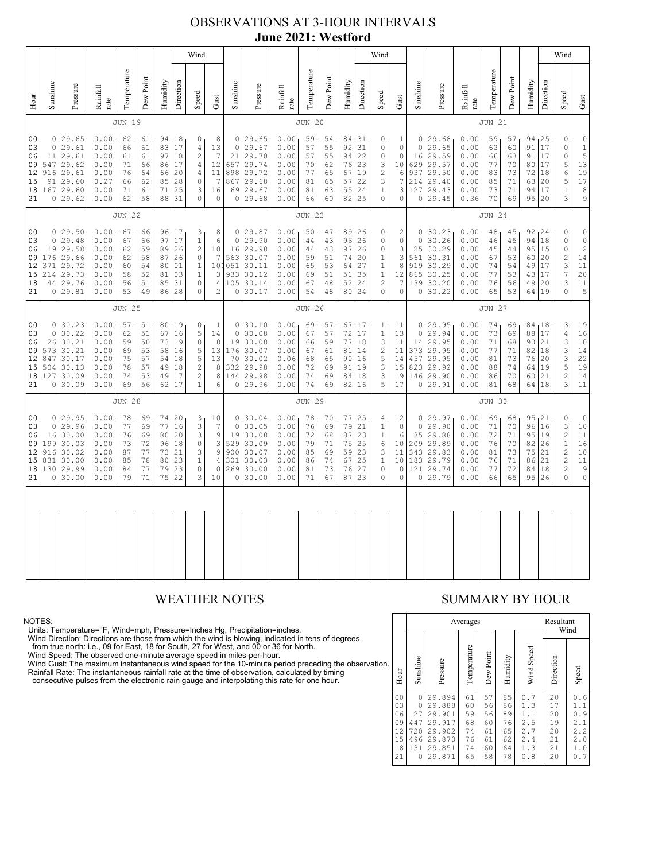# OBSERVATIONS AT 3-HOUR INTERVALS **June 2021: Westford**

|                                                          |                                                                                                                                                                                                                                                                                                                                                                                                                                                                                                                                                    |                                                                         |                                                              |                                              |                                              |                                        |                                                  | Wind                                                                                      |                                                                                            |                                                                         |                                                                         |                                                              |                                              |                                                 |                                                  |                                                                           | Wind                                                                    |                                                             |                                                                               |                                                                                       |                                                              |                                              |                                                        |                                                             |                                                         | Wind                                                                                                 |                                                                                  |
|----------------------------------------------------------|----------------------------------------------------------------------------------------------------------------------------------------------------------------------------------------------------------------------------------------------------------------------------------------------------------------------------------------------------------------------------------------------------------------------------------------------------------------------------------------------------------------------------------------------------|-------------------------------------------------------------------------|--------------------------------------------------------------|----------------------------------------------|----------------------------------------------|----------------------------------------|--------------------------------------------------|-------------------------------------------------------------------------------------------|--------------------------------------------------------------------------------------------|-------------------------------------------------------------------------|-------------------------------------------------------------------------|--------------------------------------------------------------|----------------------------------------------|-------------------------------------------------|--------------------------------------------------|---------------------------------------------------------------------------|-------------------------------------------------------------------------|-------------------------------------------------------------|-------------------------------------------------------------------------------|---------------------------------------------------------------------------------------|--------------------------------------------------------------|----------------------------------------------|--------------------------------------------------------|-------------------------------------------------------------|---------------------------------------------------------|------------------------------------------------------------------------------------------------------|----------------------------------------------------------------------------------|
| Hour                                                     | Sunshine                                                                                                                                                                                                                                                                                                                                                                                                                                                                                                                                           | Pressure                                                                | Rainfall<br>rate                                             | Temperature                                  | Dew Point                                    | Humidity                               | Direction                                        | Speed                                                                                     | Gust                                                                                       | Sunshine                                                                | Pressure                                                                | Rainfall<br>rate                                             | Temperature                                  | Dew Point                                       | Humidity                                         | Direction                                                                 | Speed                                                                   | ${\rm Gust}$                                                | Sunshine                                                                      | Pressure                                                                              | Rainfall<br>rate                                             | Temperature                                  | Dew Point                                              | Humidity                                                    | Direction                                               | Speed                                                                                                | Gust                                                                             |
|                                                          |                                                                                                                                                                                                                                                                                                                                                                                                                                                                                                                                                    |                                                                         |                                                              | <b>JUN 19</b>                                |                                              |                                        |                                                  |                                                                                           |                                                                                            |                                                                         |                                                                         |                                                              | <b>JUN 20</b>                                |                                                 |                                                  |                                                                           |                                                                         |                                                             |                                                                               |                                                                                       |                                                              | <b>JUN 21</b>                                |                                                        |                                                             |                                                         |                                                                                                      |                                                                                  |
| 00<br>03<br>06<br>09<br>12<br>15<br>18<br>21             | 0, 29.65<br>0.00<br>94 18<br>0<br>8<br>62<br>61<br>17<br>$\circ$<br>29.61<br>0.00<br>83<br>$\overline{4}$<br>66<br>61<br>$\overline{7}$<br>29.61<br>$\sqrt{2}$<br>0.00<br>97<br>18<br>11<br>61<br>61<br>29.62<br>547<br>0.00<br>17<br>71<br>66<br>86<br>4<br>916<br>29.61<br>0.00<br>20<br>$\overline{4}$<br>11<br>76<br>64<br>66<br>$\mathbb O$<br>$\overline{7}$<br>29.60<br>0.27<br>28<br>91<br>66<br>62<br>85<br>29.60<br>25<br>167<br>0.00<br>71<br>3<br>61<br>71<br>29.62<br>$\Omega$<br>$\circ$<br>0.00<br>62<br>58<br>88<br>31<br>$\Omega$ |                                                                         |                                                              |                                              |                                              |                                        |                                                  | 13<br>12<br>16                                                                            | $\circ$<br>21<br>657<br>898<br>867<br>69<br>$\circ$                                        | 0, 29.65<br>29.67<br>29.70<br>29.74<br>29.72<br>29.68<br>29.67<br>29.68 | 0.00<br>0.00<br>0.00<br>0.00<br>0.00<br>0.00<br>0.00<br>0.00            | 59<br>57<br>57<br>70<br>77<br>81<br>81<br>66                 | 54<br>55<br>55<br>62<br>65<br>65<br>63<br>60 | 84,31<br>92<br>94<br>76<br>67<br>57<br>55<br>82 | 31<br>22<br>23<br>19<br>22<br>24<br>25           | 0<br>0<br>0<br>3<br>$\overline{c}$<br>3<br>$\,1\,$<br>$\mathsf{O}\xspace$ | 1<br>0<br>$\circ$<br>10<br>6<br>7<br>3<br>0                             | $\circ$<br>16<br>629<br>937<br>127                          | 0, 29.68<br>29.65<br>29.59<br>29.57<br>29.50<br>214 29.40<br>29.43<br>0 29.45 | 0.00<br>0.00<br>0.00<br>0.00<br>0.00<br>0.00<br>0.00<br>0.36                          | 59<br>62<br>66<br>77<br>83<br>85<br>73<br>70                 | 57<br>60<br>63<br>70<br>73<br>71<br>71<br>69 | 94, 25<br>91<br>91<br>80<br>72<br>63 20<br>94<br>95 20 | 17<br>17<br>17<br>18<br>17                                  | 0<br>0<br>$\circ$<br>5<br>$\epsilon$<br>5<br>$\,1$<br>3 | $\mathbb O$<br>$\frac{1}{5}$<br>13<br>19<br>17<br>$\,$ 8 $\,$<br>$\mathsf 9$                         |                                                                                  |
|                                                          | <b>JUN 22</b>                                                                                                                                                                                                                                                                                                                                                                                                                                                                                                                                      |                                                                         |                                                              |                                              |                                              |                                        |                                                  |                                                                                           |                                                                                            |                                                                         |                                                                         | <b>JUN 23</b>                                                |                                              |                                                 |                                                  |                                                                           |                                                                         |                                                             |                                                                               |                                                                                       | <b>JUN 24</b>                                                |                                              |                                                        |                                                             |                                                         |                                                                                                      |                                                                                  |
| 0 <sub>0</sub><br>03<br>06<br>09<br>12<br>15<br>18<br>21 | $\circ$<br>19<br>176<br>371<br>214<br>44<br>$\circ$                                                                                                                                                                                                                                                                                                                                                                                                                                                                                                | 0, 29.50<br>29.48<br>29.58<br>29.66<br>29.72<br>29.73<br>29.76<br>29.81 | 0.00<br>0.00<br>0.00<br>0.00<br>0.00<br>0.00<br>0.00<br>0.00 | 67<br>67<br>62<br>62<br>60<br>58<br>56<br>53 | 66<br>66<br>59<br>58<br>54<br>52<br>51<br>49 | 97<br>89<br>87<br>80<br>81<br>85<br>86 | 96, 17<br>17<br>26<br>26<br>01<br>03<br>31<br>28 | 3<br>$\,1$<br>$\sqrt{2}$<br>$\mathbb O$<br>$\mathbf{1}$<br>$1\,$<br>$\circ$<br>$\Omega$   | 8<br>$\epsilon$<br>10<br>$\overline{7}$<br>3<br>$\overline{4}$<br>$\overline{c}$           | $\circ$<br>16<br>563<br>101051<br>933<br>105<br>0                       | 0, 29.87<br>29.90<br>29.98<br>30.07<br>30.11<br>30.12<br>30.14<br>30.17 | 0.00<br>0.00<br>0.00<br>0.00<br>0.00<br>0.00<br>0.00<br>0.00 | 50<br>44<br>44<br>59<br>65<br>69<br>67<br>54 | 47<br>43<br>43<br>51<br>53<br>51<br>48<br>48    | 89, 26<br>96<br>97<br>74<br>64<br>51<br>52<br>80 | 26<br>26<br>20<br>27<br>35<br>24<br>24                                    | 0<br>0<br>0<br>1<br>$\mathbf{1}$<br>$1\,$<br>$\overline{c}$<br>$\Omega$ | 2<br>$\mathbb O$<br>3<br>3<br>8<br>12<br>7<br>0             | $\circ$<br>25<br>561<br>919<br>865<br>0                                       | 0, 30.23<br>30.26<br>30.29<br>30.31<br>30.29<br>30.25<br>139 30.20<br>30.22           | 0.00<br>0.00<br>0.00<br>0.00<br>0.00<br>0.00<br>0.00<br>0.00 | 48<br>46<br>45<br>67<br>74<br>77<br>76<br>65 | 45<br>45<br>44<br>53<br>54<br>53<br>56<br>53           | 92, 24<br>94 18<br>95<br>60<br>49<br>43<br>49 20<br>64      | 15<br>20<br>17<br>17<br>19                              | 0<br>$\circ$<br>$\circ$<br>$\overline{c}$<br>$\frac{3}{7}$<br>3<br>$\Omega$                          | $\circ$<br>$\mathbb O$<br>$\sqrt{2}$<br>14<br>11<br>20<br>11<br>5                |
|                                                          |                                                                                                                                                                                                                                                                                                                                                                                                                                                                                                                                                    |                                                                         |                                                              | <b>JUN 25</b>                                |                                              |                                        |                                                  |                                                                                           |                                                                                            |                                                                         |                                                                         |                                                              | <b>JUN 26</b>                                |                                                 |                                                  |                                                                           |                                                                         |                                                             |                                                                               |                                                                                       |                                                              | <b>JUN 27</b>                                |                                                        |                                                             |                                                         |                                                                                                      |                                                                                  |
| 00<br>03<br>06<br>09<br>12<br>15<br>18<br>21             | $\circ$<br>26<br>573<br>847<br>504<br>127<br>$\circ$                                                                                                                                                                                                                                                                                                                                                                                                                                                                                               | 0, 30.23<br>30.22<br>30.21<br>30.21<br>30.17<br>30.13<br>30.09<br>30.09 | 0.00<br>0.00<br>0.00<br>0.00<br>0.00<br>0.00<br>0.00<br>0.00 | 57<br>62<br>59<br>69<br>75<br>78<br>74<br>69 | 51<br>51<br>50<br>53<br>57<br>57<br>53<br>56 | 67<br>73<br>58<br>54<br>49<br>49<br>62 | 80, 19<br>16<br>19<br>16<br>18<br>18<br>17<br>17 | 0<br>5<br>$\mathbb O$<br>5<br>$\mathsf S$<br>$\overline{c}$<br>$\sqrt{2}$<br>$\mathbf{1}$ | $\mathbf{1}$<br>14<br>8<br>13<br>13<br>8<br>8<br>6                                         | $\circ$<br>19<br>176<br>70<br>332<br>144<br>0                           | 0, 30.10<br>30.08<br>30.08<br>30.07<br>30.02<br>29.98<br>29.98<br>29.96 | 0.00<br>0.00<br>0.00<br>0.00<br>0.06<br>0.00<br>0.00<br>0.00 | 69<br>67<br>66<br>67<br>68<br>72<br>74<br>74 | 57<br>57<br>59<br>61<br>65<br>69<br>69<br>69    | 67<br>72<br>77<br>81<br>90<br>91<br>84<br>82     | 17  <br>17<br>18<br>14<br>16<br>19<br>18<br>16                            | 1<br>$\mathbf{1}$<br>3<br>$\overline{c}$<br>5<br>3<br>3<br>5            | 11<br>13<br>11<br>11<br>14<br>15<br>19<br>17                | $\circ$<br>14<br>457                                                          | 0, 29.95<br>29.94<br>29.95<br>373 29.95<br>29.95<br>823 29.92<br>146 29.90<br>0 29.91 | 0.00<br>0.00<br>0.00<br>0.00<br>0.00<br>0.00<br>0.00<br>0.00 | 74<br>73<br>71<br>77<br>81<br>88<br>86<br>81 | 69<br>69<br>68<br>71<br>73<br>74<br>70<br>68           | 84, 18<br>88 17<br>90 21<br>82<br>76<br>64<br>60<br>64   18 | 18<br>20<br>19<br>21                                    | 3<br>$\overline{4}$<br>3<br>3<br>3<br>5<br>$\overline{c}$<br>3                                       | 19<br>16<br>10<br>14<br>22<br>19<br>14<br>11                                     |
|                                                          |                                                                                                                                                                                                                                                                                                                                                                                                                                                                                                                                                    |                                                                         |                                                              | <b>JUN 28</b>                                |                                              |                                        |                                                  |                                                                                           |                                                                                            |                                                                         |                                                                         |                                                              | <b>JUN 29</b>                                |                                                 |                                                  |                                                                           |                                                                         |                                                             |                                                                               |                                                                                       |                                                              | <b>JUN 30</b>                                |                                                        |                                                             |                                                         |                                                                                                      |                                                                                  |
| 0 <sub>0</sub><br>03<br>06<br>09<br>12<br>15<br>18<br>21 | $\circ$<br>16<br>199<br>916<br>831<br>130<br>$\circ$                                                                                                                                                                                                                                                                                                                                                                                                                                                                                               | 0, 29.95<br>29.96<br>30.00<br>30.03<br>30.02<br>30.00<br>29.99<br>30.00 | 0.00<br>0.00<br>0.00<br>0.00<br>0.00<br>0.00<br>0.00<br>0.00 | 78<br>77<br>76<br>73<br>87<br>85<br>84<br>79 | 69<br>69<br>69<br>72<br>77<br>78<br>77<br>71 | 77<br>80<br>96<br>73<br>80<br>79<br>75 | 74, 20<br>16<br>20<br>18<br>21<br>23<br>23<br>22 | 3<br>3<br>3<br>$\mathbb O$<br>3<br>$\,1$<br>$\circ$<br>3                                  | 10<br>$\overline{7}$<br>9<br>$\ensuremath{\mathsf{3}}$<br>9<br>$\sqrt{4}$<br>$\circ$<br>10 | $\mathbf 0$<br>19<br>529<br>900<br>301<br>269<br>$\mathbb O$            | 0, 30.04<br>30.05<br>30.08<br>30.09<br>30.07<br>30.03<br>30.00<br>30.00 | 0.00<br>0.00<br>0.00<br>0.00<br>0.00<br>0.00<br>0.00<br>0.00 | 78<br>76<br>72<br>79<br>85<br>86<br>81<br>71 | 70<br>69<br>68<br>71<br>69<br>74<br>73<br>67    | 77<br>79<br>87<br>75<br>59<br>67<br>76<br>87     | 25<br>21<br>23<br>25<br>23<br>25<br>27<br>23                              | 4<br>$1\,$<br>$\,1\,$<br>6<br>3<br>$1\,$<br>$\circ$<br>0                | 12<br>8<br>6<br>10 <sup>°</sup><br>11<br>10<br>0<br>$\circ$ | $\Omega$<br>35<br>209<br>$\circ$                                              | 0, 29.97<br>29.90<br>29.88<br>29.89<br>343 29.83<br>183 29.79<br>121 29.74<br>29.79   | 0.00<br>0.00<br>0.00<br>0.00<br>0.00<br>0.00<br>0.00<br>0.00 | 69<br>71<br>72<br>76<br>81<br>76<br>77<br>66 | 68<br>70<br>71<br>70<br>73<br>71<br>72<br>65           | 95, 21<br>96 16<br>95 19<br>82 26<br>75<br>86<br>84<br>95   | 21<br>21<br>18<br>26                                    | 0<br>3<br>$\overline{c}$<br>$\,1\,$<br>$\overline{c}$<br>$\overline{c}$<br>$\overline{c}$<br>$\circ$ | $\circ$<br>$10$<br>11<br>16<br>10<br>11<br>$\begin{array}{c} 9 \\ 0 \end{array}$ |
|                                                          |                                                                                                                                                                                                                                                                                                                                                                                                                                                                                                                                                    |                                                                         |                                                              |                                              |                                              |                                        |                                                  |                                                                                           |                                                                                            |                                                                         |                                                                         |                                                              |                                              |                                                 |                                                  |                                                                           |                                                                         |                                                             |                                                                               |                                                                                       |                                                              |                                              |                                                        |                                                             |                                                         |                                                                                                      |                                                                                  |
|                                                          |                                                                                                                                                                                                                                                                                                                                                                                                                                                                                                                                                    |                                                                         |                                                              |                                              |                                              |                                        |                                                  |                                                                                           |                                                                                            |                                                                         |                                                                         |                                                              |                                              |                                                 |                                                  |                                                                           |                                                                         |                                                             |                                                                               |                                                                                       |                                                              |                                              |                                                        |                                                             |                                                         |                                                                                                      |                                                                                  |

NOTES:<br>Units: Temperature=°F, Wind=mph, Pressure=Inches Hg, Precipitation=inches.<br>Units: Temperature=°F, Wind=mph, Pressure=Inches Hg, Precipitation=inches.<br>
Yind Direction: Directions are those from which the wind is blow

### WEATHER NOTES SUMMARY BY HOUR

|    |                                                          |                                               |                                                                              | Averages                                     |                                              |                                              | Resultant                                            | Wind                                         |                                                          |
|----|----------------------------------------------------------|-----------------------------------------------|------------------------------------------------------------------------------|----------------------------------------------|----------------------------------------------|----------------------------------------------|------------------------------------------------------|----------------------------------------------|----------------------------------------------------------|
| n. | Hour                                                     | Sunshine                                      | Pressure                                                                     | Temperature                                  | Dew Point                                    | Humidity                                     | Wind Speed                                           | Direction                                    | Speed                                                    |
|    | 0 <sub>0</sub><br>03<br>06<br>09<br>12<br>15<br>18<br>21 | 0<br>0<br>27<br>447<br>720<br>496<br>131<br>O | 29.894<br>29.888<br>29.901<br>29.917<br>29.902<br>29.870<br>29.851<br>29.871 | 61<br>60<br>59<br>68<br>74<br>76<br>74<br>65 | 57<br>56<br>56<br>60<br>61<br>61<br>60<br>58 | 85<br>86<br>89<br>76<br>65<br>62<br>64<br>78 | 0.7<br>1.3<br>1.1<br>2.5<br>2.7<br>2.4<br>1.3<br>0.8 | 20<br>17<br>20<br>19<br>20<br>21<br>21<br>20 | .6<br>0<br>1.1<br>0.9<br>2.1<br>2.2<br>2.0<br>1.0<br>0.7 |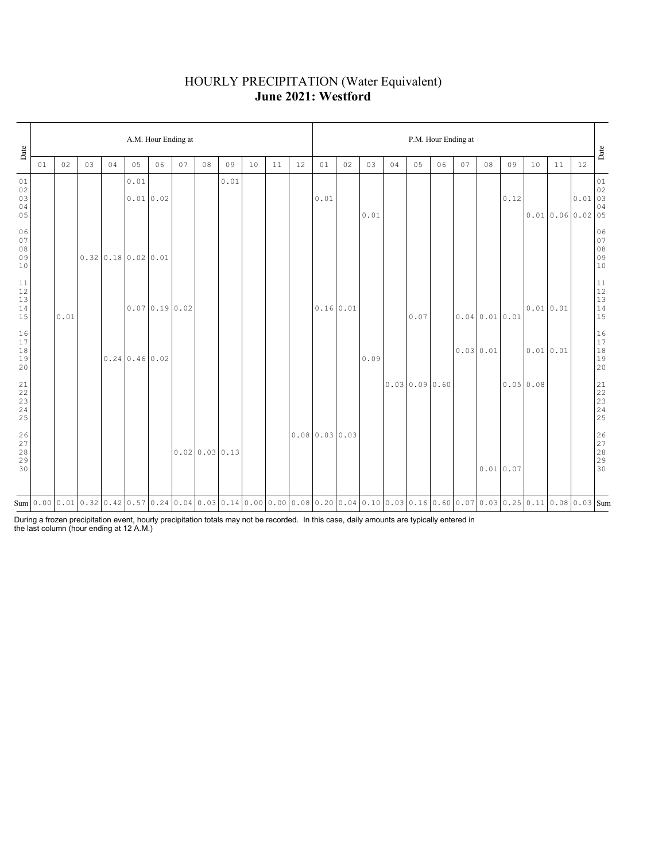### HOURLY PRECIPITATION (Water Equivalent) **June 2021: Westford**

| Date                                                      |    | A.M. Hour Ending at |    |    |                                      |                                                                                                                                                                                                                                                                                                                                  |    |                |      |    |    |    |                |    | P.M. Hour Ending at |    |               |    |    |                            |          |           |          |                                                                          |                                                           |  |
|-----------------------------------------------------------|----|---------------------|----|----|--------------------------------------|----------------------------------------------------------------------------------------------------------------------------------------------------------------------------------------------------------------------------------------------------------------------------------------------------------------------------------|----|----------------|------|----|----|----|----------------|----|---------------------|----|---------------|----|----|----------------------------|----------|-----------|----------|--------------------------------------------------------------------------|-----------------------------------------------------------|--|
|                                                           | 01 | 02                  | 03 | 04 | 05                                   | 06                                                                                                                                                                                                                                                                                                                               | 07 | 08             | 09   | 10 | 11 | 12 | 01             | 02 | 03                  | 04 | 05            | 06 | 07 | 08                         | 09       | 10        | 11       | 12                                                                       | Date                                                      |  |
| 01<br>02<br>03<br>04<br>05                                |    |                     |    |    | 0.01                                 | 0.01 0.02                                                                                                                                                                                                                                                                                                                        |    |                | 0.01 |    |    |    | 0.01           |    | 0.01                |    |               |    |    |                            | 0.12     |           |          | $\begin{array}{ c c }\n\hline\n0.01 & 03\n\end{array}$<br>0.010.060.0205 | $0\,1$<br>04                                              |  |
| 06<br>07<br>08<br>09<br>10                                |    |                     |    |    | $0.32 \mid 0.18 \mid 0.02 \mid 0.01$ |                                                                                                                                                                                                                                                                                                                                  |    |                |      |    |    |    |                |    |                     |    |               |    |    |                            |          |           |          |                                                                          | 06<br>07<br>08<br>09<br>09<br>10                          |  |
| $1\,1$<br>12<br>13<br>14<br>15                            |    | 0.01                |    |    |                                      | 0.070.190.02                                                                                                                                                                                                                                                                                                                     |    |                |      |    |    |    | 0.16 0.01      |    |                     |    | 0.07          |    |    | $0.04 \mid 0.01 \mid 0.01$ |          | 0.010.01  |          |                                                                          | $\begin{array}{c} 11 \\ 12 \\ 13 \\ 14 \\ 15 \end{array}$ |  |
| 16<br>17<br>$1\,8$<br>19<br>20                            |    |                     |    |    | $0.24 \mid 0.46 \mid 0.02$           |                                                                                                                                                                                                                                                                                                                                  |    |                |      |    |    |    |                |    | 0.09                |    |               |    |    | 0.0300.01                  |          |           | 0.010.01 |                                                                          | 16<br>17<br>18<br>19<br>19<br>20                          |  |
| $\begin{array}{c} 21 \\ 22 \\ 23 \\ 24 \end{array}$<br>25 |    |                     |    |    |                                      |                                                                                                                                                                                                                                                                                                                                  |    |                |      |    |    |    |                |    |                     |    | 0.0300.090.60 |    |    |                            |          | 0.0500.08 |          |                                                                          | $21$<br>$22$<br>$23$<br>$24$<br>$25$                      |  |
| 26<br>27<br>28<br>29<br>30                                |    |                     |    |    |                                      |                                                                                                                                                                                                                                                                                                                                  |    | 0.0200.0300.13 |      |    |    |    | 0.0800.0300.03 |    |                     |    |               |    |    |                            | 0.010.07 |           |          |                                                                          | 26<br>27<br>28<br>29<br>29                                |  |
|                                                           |    |                     |    |    |                                      | $\text{Sum} \mid 0.00 \mid 0.01 \mid 0.32 \mid 0.42 \mid 0.57 \mid 0.24 \mid 0.04 \mid 0.03 \mid 0.14 \mid 0.00 \mid 0.00 \mid 0.08 \mid 0.20 \mid 0.04 \mid 0.10 \mid 0.03 \mid 0.16 \mid 0.60 \mid 0.07 \mid 0.03 \mid 0.25 \mid 0.11 \mid 0.08 \mid 0.03 \mid 0.07 \mid 0.08 \mid 0.09 \mid 0.09 \mid 0.09 \mid 0.09 \mid 0.$ |    |                |      |    |    |    |                |    |                     |    |               |    |    |                            |          |           |          |                                                                          |                                                           |  |

During a frozen precipitation event, hourly precipitation totals may not be recorded. In this case, daily amounts are typically entered in the last column (hour ending at 12 A.M.)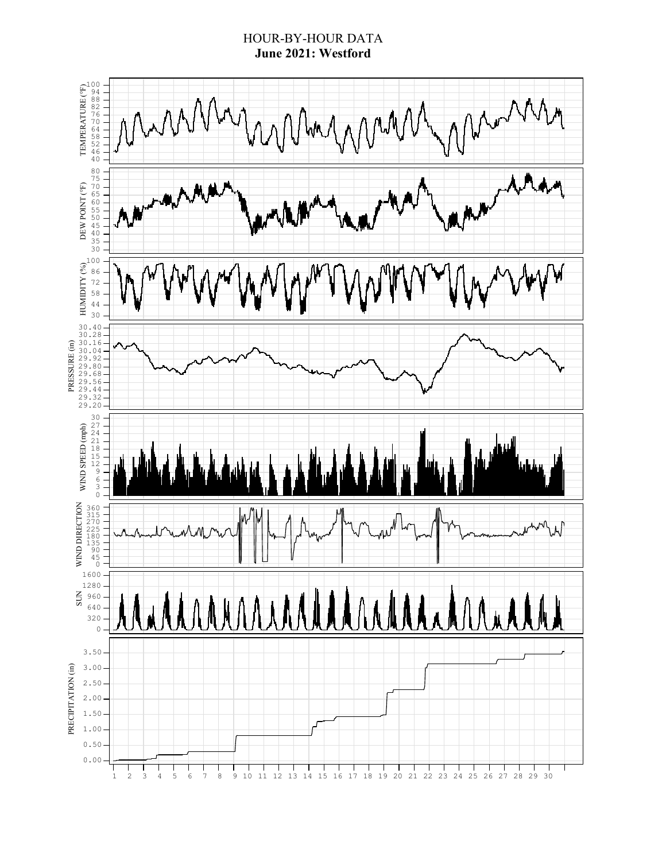### HOUR-BY-HOUR DATA **June 2021: Westford**